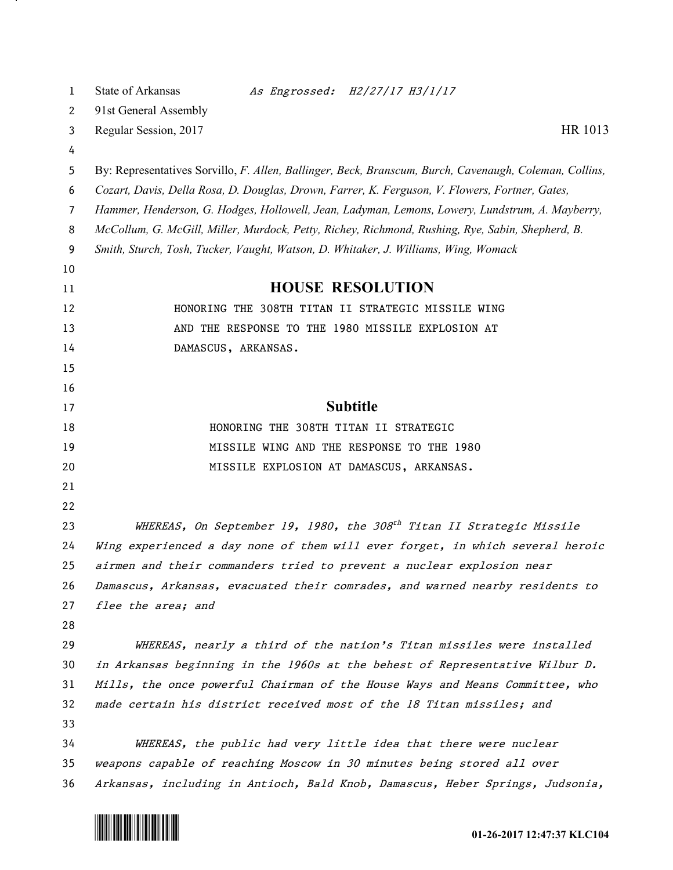| 1  | State of Arkansas<br>As Engrossed: H2/27/17 H3/1/17                                                    |
|----|--------------------------------------------------------------------------------------------------------|
| 2  | 91st General Assembly                                                                                  |
| 3  | HR 1013<br>Regular Session, 2017                                                                       |
| 4  |                                                                                                        |
| 5  | By: Representatives Sorvillo, F. Allen, Ballinger, Beck, Branscum, Burch, Cavenaugh, Coleman, Collins, |
| 6  | Cozart, Davis, Della Rosa, D. Douglas, Drown, Farrer, K. Ferguson, V. Flowers, Fortner, Gates,         |
| 7  | Hammer, Henderson, G. Hodges, Hollowell, Jean, Ladyman, Lemons, Lowery, Lundstrum, A. Mayberry,        |
| 8  | McCollum, G. McGill, Miller, Murdock, Petty, Richey, Richmond, Rushing, Rye, Sabin, Shepherd, B.       |
| 9  | Smith, Sturch, Tosh, Tucker, Vaught, Watson, D. Whitaker, J. Williams, Wing, Womack                    |
| 10 |                                                                                                        |
| 11 | <b>HOUSE RESOLUTION</b>                                                                                |
| 12 | HONORING THE 308TH TITAN II STRATEGIC MISSILE WING                                                     |
| 13 | AND THE RESPONSE TO THE 1980 MISSILE EXPLOSION AT                                                      |
| 14 | DAMASCUS, ARKANSAS.                                                                                    |
| 15 |                                                                                                        |
| 16 |                                                                                                        |
| 17 | <b>Subtitle</b>                                                                                        |
| 18 | HONORING THE 308TH TITAN II STRATEGIC                                                                  |
| 19 | MISSILE WING AND THE RESPONSE TO THE 1980                                                              |
| 20 | MISSILE EXPLOSION AT DAMASCUS, ARKANSAS.                                                               |
| 21 |                                                                                                        |
| 22 |                                                                                                        |
| 23 | WHEREAS, On September 19, 1980, the 308 <sup>th</sup> Titan II Strategic Missile                       |
| 24 | Wing experienced a day none of them will ever forget, in which several heroic                          |
| 25 | airmen and their commanders tried to prevent a nuclear explosion near                                  |
| 26 | Damascus, Arkansas, evacuated their comrades, and warned nearby residents to                           |
| 27 | flee the area; and                                                                                     |
| 28 |                                                                                                        |
| 29 | WHEREAS, nearly a third of the nation's Titan missiles were installed                                  |
| 30 | in Arkansas beginning in the 1960s at the behest of Representative Wilbur D.                           |
| 31 | Mills, the once powerful Chairman of the House Ways and Means Committee, who                           |
| 32 | made certain his district received most of the 18 Titan missiles; and                                  |
| 33 |                                                                                                        |
| 34 | WHEREAS, the public had very little idea that there were nuclear                                       |
| 35 | weapons capable of reaching Moscow in 30 minutes being stored all over                                 |
| 36 | Arkansas, including in Antioch, Bald Knob, Damascus, Heber Springs, Judsonia,                          |



<u>на п</u>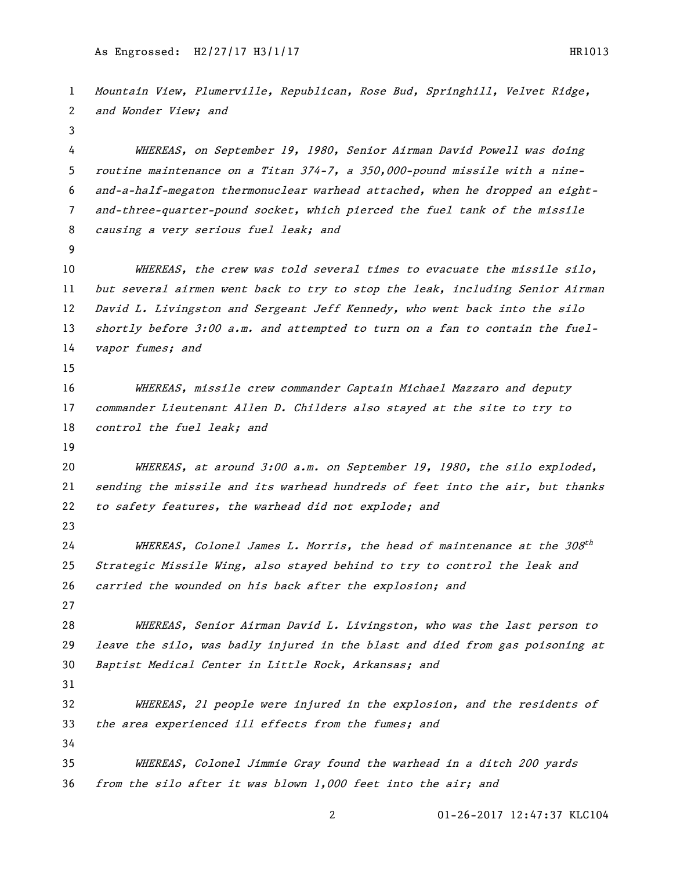Mountain View, Plumerville, Republican, Rose Bud, Springhill, Velvet Ridge, and Wonder View; and WHEREAS, on September 19, 1980, Senior Airman David Powell was doing routine maintenance on a Titan 374-7, a 350,000-pound missile with a nine- and-a-half-megaton thermonuclear warhead attached, when he dropped an eight- and-three-quarter-pound socket, which pierced the fuel tank of the missile causing a very serious fuel leak; and WHEREAS, the crew was told several times to evacuate the missile silo, but several airmen went back to try to stop the leak, including Senior Airman 12 David L. Livingston and Sergeant Jeff Kennedy, who went back into the silo 13 shortly before 3:00 a.m. and attempted to turn on a fan to contain the fuel-14 vapor fumes; and WHEREAS, missile crew commander Captain Michael Mazzaro and deputy commander Lieutenant Allen D. Childers also stayed at the site to try to 18 control the fuel leak; and 20 WHEREAS, at around 3:00 a.m. on September 19, 1980, the silo exploded, sending the missile and its warhead hundreds of feet into the air, but thanks 22 to safety features, the warhead did not explode; and WHEREAS, Colonel James L. Morris, the head of maintenance at the 308 $^{\rm th}$  Strategic Missile Wing, also stayed behind to try to control the leak and carried the wounded on his back after the explosion; and WHEREAS, Senior Airman David L. Livingston, who was the last person to leave the silo, was badly injured in the blast and died from gas poisoning at Baptist Medical Center in Little Rock, Arkansas; and WHEREAS, 21 people were injured in the explosion, and the residents of the area experienced ill effects from the fumes; and WHEREAS, Colonel Jimmie Gray found the warhead in a ditch 200 yards from the silo after it was blown 1,000 feet into the air; and